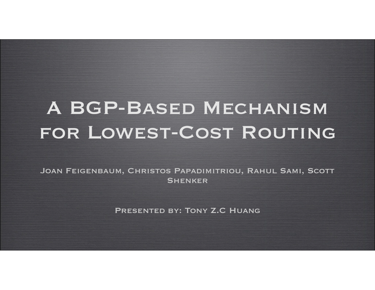# A BGP-Based Mechanism for Lowest-Cost Routing

Joan Feigenbaum, Christos Papadimitriou, Rahul Sami, Scott **SHENKER** 

Presented by: Tony Z.C Huang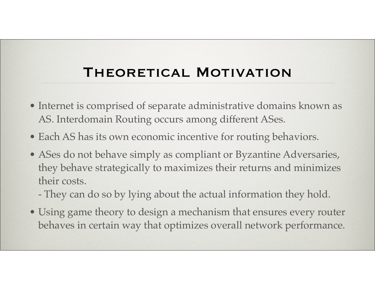#### THEORETICAL MOTIVATION

- Internet is comprised of separate administrative domains known as AS. Interdomain Routing occurs among different ASes.
- Each AS has its own economic incentive for routing behaviors.
- ASes do not behave simply as compliant or Byzantine Adversaries, they behave strategically to maximizes their returns and minimizes their costs.
	- They can do so by lying about the actual information they hold.
- Using game theory to design a mechanism that ensures every router behaves in certain way that optimizes overall network performance.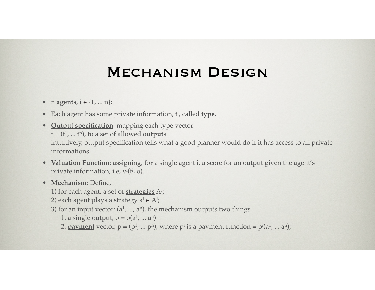#### Mechanism Design

- $n$  **agents**,  $i \in \{1, ..., n\}$ ;
- Each agent has some private information, t<sup>i</sup>, called **type.**
- **Output specification**: mapping each type vector  $t = (t^1, ... t^n)$ , to a set of allowed **output**s. intuitively, output specification tells what a good planner would do if it has access to all private informations.
- **Valuation Function**: assigning, for a single agent i, a score for an output given the agent's private information, i.e, v<sup>i</sup>(t<sup>i</sup>, o).
- **Mechanism**: Define,
	- 1) for each agent, a set of **strategies** Ai ;
	- 2) each agent plays a strategy a<sup>i</sup> ∈ A<sup>i</sup>;
	- 3) for an input vector:  $(a^1, ..., a^n)$ , the mechanism outputs two things
		- 1. a single output,  $o = o(a^1, ... a^n)$
	- 2. **payment** vector,  $p = (p^1, ..., p^n)$ , where  $p^i$  is a payment function =  $p^i(a^1, ..., a^n)$ ;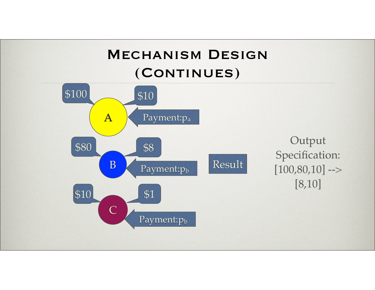#### Mechanism Design (Continues)

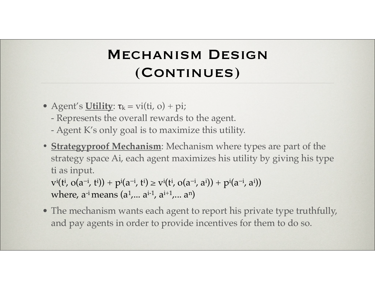# Mechanism Design (Continues)

- Agent's **Utility**:  $\tau_k = \text{vi}(t\mathbf{i}, \mathbf{o}) + \text{pi}$ ;
	- Represents the overall rewards to the agent.
	- Agent K's only goal is to maximize this utility.
- **• Strategyproof Mechanism**: Mechanism where types are part of the strategy space Ai, each agent maximizes his utility by giving his type ti as input.

 $v^i(t^i, o(a^{-i}, t^i)) + p^i(a^{-i}, t^i) \ge v^i(t^i, o(a^{-i}, a^i)) + p^i(a^{-i}, a^i))$ where,  $a^{-i}$  means  $(a^1, a^{i-1}, a^{i+1}, \ldots, a^n)$ 

• The mechanism wants each agent to report his private type truthfully, and pay agents in order to provide incentives for them to do so.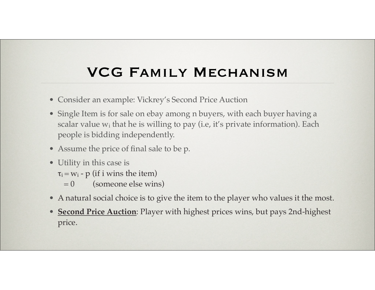# VCG Family Mechanism

- Consider an example: Vickrey's Second Price Auction
- Single Item is for sale on ebay among n buyers, with each buyer having a scalar value w<sub>i</sub> that he is willing to pay (i.e, it's private information). Each people is bidding independently.
- Assume the price of final sale to be p.
- Utility in this case is
	- $\tau_i = w_i p$  (if i wins the item)
		- $= 0$  (someone else wins)
- A natural social choice is to give the item to the player who values it the most.
- **Second Price Auction**: Player with highest prices wins, but pays 2nd-highest price.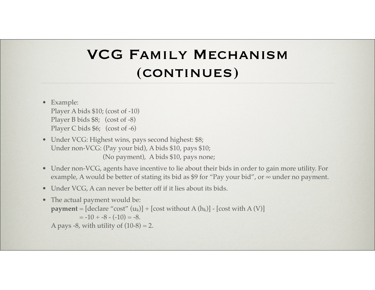# VCG Family Mechanism (continues)

- Example: Player A bids \$10; (cost of -10) Player B bids \$8; (cost of -8) Player C bids \$6; (cost of -6)
- Under VCG: Highest wins, pays second highest: \$8; Under non-VCG: (Pay your bid), A bids \$10, pays \$10; (No payment), A bids \$10, pays none;
- Under non-VCG, agents have incentive to lie about their bids in order to gain more utility. For example, A would be better of stating its bid as \$9 for "Pay your bid", or  $\infty$  under no payment.
- Under VCG, A can never be better off if it lies about its bids.
- The actual payment would be: **payment** =  $[$  declare "cost"  $(u_k)] + [cost without A (h_k)] - [cost with A (V)]$  $=-10 + -8 - (-10) = -8.$ A pays -8, with utility of  $(10-8) = 2$ .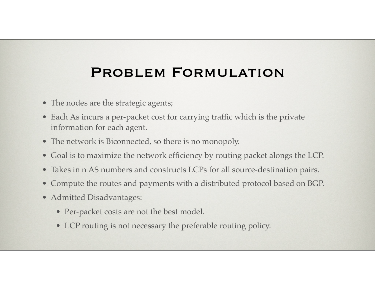#### PROBLEM FORMULATION

- The nodes are the strategic agents;
- Each As incurs a per-packet cost for carrying traffic which is the private information for each agent.
- The network is Biconnected, so there is no monopoly.
- Goal is to maximize the network efficiency by routing packet alongs the LCP.
- Takes in n AS numbers and constructs LCPs for all source-destination pairs.
- Compute the routes and payments with a distributed protocol based on BGP.
- Admitted Disadvantages:
	- Per-packet costs are not the best model.
	- LCP routing is not necessary the preferable routing policy.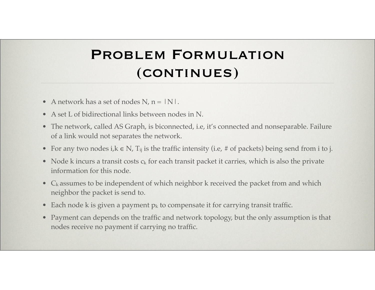# PROBLEM FORMULATION (continues)

- A network has a set of nodes N,  $n = |N|$ .
- A set L of bidirectional links between nodes in N.
- The network, called AS Graph, is biconnected, i.e, it's connected and nonseparable. Failure of a link would not separates the network.
- For any two nodes i, $k \in N$ ,  $T_{ij}$  is the traffic intensity (i.e, # of packets) being send from i to j.
- Node k incurs a transit costs  $c_k$  for each transit packet it carries, which is also the private information for this node.
- $C_k$  assumes to be independent of which neighbor k received the packet from and which neighbor the packet is send to.
- Each node k is given a payment  $p_k$  to compensate it for carrying transit traffic.
- Payment can depends on the traffic and network topology, but the only assumption is that nodes receive no payment if carrying no traffic.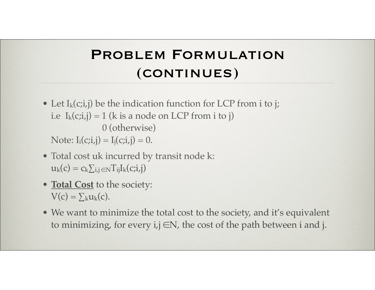# PROBLEM FORMULATION (continues)

- Let  $I_k(c;i,j)$  be the indication function for LCP from i to j; i.e  $I_k(c;i,j) = 1$  (k is a node on LCP from i to j) 0 (otherwise) Note:  $I_i(c;i,j) = I_i(c;i,j) = 0$ .
- Total cost uk incurred by transit node k:  $u_k(c) = c_k \sum_{i,j} \in NT_{ij}I_k(c;i,j)$
- **Total Cost** to the society:  $V(c) = \sum_{k} u_k(c)$ .
- We want to minimize the total cost to the society, and it's equivalent to minimizing, for every  $i, j \in N$ , the cost of the path between i and j.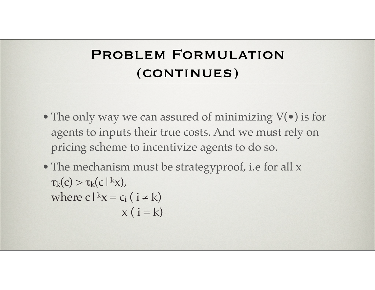#### PROBLEM FORMULATION (continues)

- The only way we can assured of minimizing  $V(\bullet)$  is for agents to inputs their true costs. And we must rely on pricing scheme to incentivize agents to do so.
- The mechanism must be strategyproof, i.e for all x  $\tau_k(c) > \tau_k(c|kx)$ , where c $|kx = c_i$  ( $i \neq k$ )  $x (i = k)$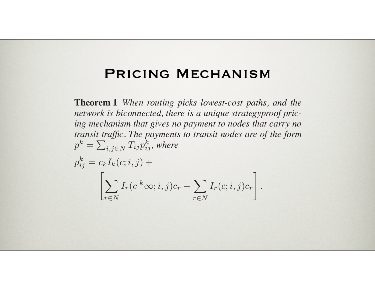#### PRICING MECHANISM where p<sup>k</sup> **FRICING MECHANISM**

 $\mathcal{I}^{\mathcal{I}}_{\mathcal{I}}$  ,  $\mathcal{I}^{\mathcal{I}}_{\mathcal{I}}$  ,  $\mathcal{I}^{\mathcal{I}}_{\mathcal{I}}$  ,  $\mathcal{I}^{\mathcal{I}}_{\mathcal{I}}$ 

Ir(c|

the traffic matrix. Second, the prices p<sup>k</sup>

This mechanism belongs to the Vickrey-Clarke-Groves

 $\mathcal{L}(\mathcal{L})$  family  $\mathcal{L}(\mathcal{L})$  is in estence a node-centric, all-

pairs extension of the LCP mechanism studied by Nisan and

Ronen [16] and Hershberger and Suri [12]. There are several

aspects of this result that are worth noting. First, although

the payments could have taken any form and could have de-

pended arbitrarily on the traffic matrix, it turns out the pay-

ments are a sum of per-packet payments that do not depend on

between i and j does not traverse k. Thus, these payments can

be computed, once one knows the prices, merely by counting

the packets as they enter the node. Third, although the costs

pk

= !

Tijp<sup>k</sup>

ij ,

**Theorem 1** *When routing picks lowest-cost paths, and the network is biconnected, there is a unique strategyproof pricing mechanism that gives no payment to nodes that carry no transit traffic. The payments to transit nodes are of the form*  $p^k = \sum_{i,j \in N} \widetilde{T_{ij}} p_{ij}^k$  , where

mechanism that minimizes a function of the form  $\mathcal{C}$  (c)  $\mathcal{C}$  (c)  $\mathcal{C}$  (c)  $\mathcal{C}$  (c)  $\mathcal{C}$  (c)  $\mathcal{C}$ 

$$
p_{ij}^k = c_k I_k(c; i, j) +
$$

$$
\left[ \sum_{r \in N} I_r(c|^k \infty; i, j) c_r - \sum_{r \in N} I_r(c; i, j) c_r \right].
$$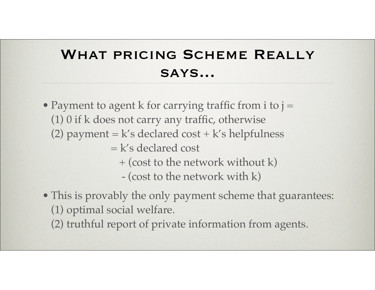# WHAT PRICING SCHEME REALLY says...

- Payment to agent k for carrying traffic from  $i$  to  $j =$ (1) 0 if k does not carry any traffic, otherwise (2) payment =  $k's$  declared cost +  $k's$  helpfulness = k's declared cost + (cost to the network without k) - (cost to the network with k)
- This is provably the only payment scheme that guarantees: (1) optimal social welfare.
	- (2) truthful report of private information from agents.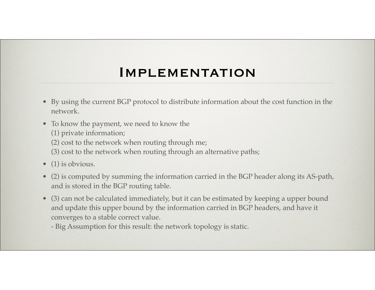#### **IMPLEMENTATION**

- By using the current BGP protocol to distribute information about the cost function in the network.
- To know the payment, we need to know the
	- (1) private information;
	- (2) cost to the network when routing through me;
	- (3) cost to the network when routing through an alternative paths;
- (1) is obvious.
- (2) is computed by summing the information carried in the BGP header along its AS-path, and is stored in the BGP routing table.
- (3) can not be calculated immediately, but it can be estimated by keeping a upper bound and update this upper bound by the information carried in BGP headers, and have it converges to a stable correct value.
	- Big Assumption for this result: the network topology is static.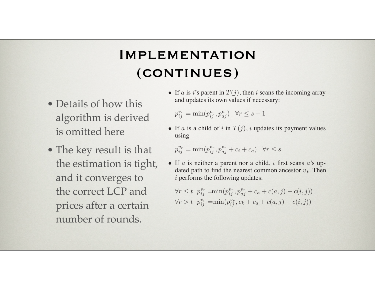#### IMPLEMENTATION (CONTINUES) gence is a route change when N I INUES*)*

- Details of how this algorithm is derived is omitted here
- The key result is that the estimation is tight, and it converges to the correct LCP and prices after a certain number of rounds.

• If a is i's parent in  $T(j)$ , then i scans the incoming array and updates its own values if necessary:

As long as the network is static, the entries decrease mono-

 $\hat{\mathbf{z}}$ 

modified := FALSE

/\* Called when an UPDATE message \*/  $\mathcal{M}^{\mathcal{A}}$ /\* from neighbor a. \*/  $\mathcal{L}^{\mathcal{A}}$  $\mathcal{L}^{\mathcal{A}}_{\mathcal{A}}$  for  $\mathcal{A}^{\mathcal{A}}_{\mathcal{A}}$ 

 $i,j,k \in \mathbb{N}$ 

else if i on P(c; a, j) /\* child \*/ /\* u<sup>r</sup> = vr, for r = 1, 2, ··· (l − 1) \*/

else /\*neither parent nor child\*/  $t \geq 0$ 

/\* u<sup>r</sup> = vr, for r = 1, 2, ··· l \*/ for each k in {v1, v2, ··· vl}

for each k in {v1, v2, ··· v<sup>l</sup>−<sup>1</sup>}

for each k in {v1, v2, ··· vt}

 $p_{ij}^{v_r} = \min(p_{ij}^{v_r}, p_{aj}^{v_r}) \quad \forall r \le s - 1$ 

The algorithm is summarized in Figure 3.

*Correctness of the algorithm*

• If a is a child of i in  $T(j)$ , i updates its payment values using

$$
p_{ij}^{v_r} = \min(p_{ij}^{v_r}, p_{aj}^{v_r} + c_i + c_a) \quad \forall r \le s
$$

• If  $\alpha$  is neither a parent nor a child, i first scans  $\alpha$ 's updated path to find the nearest common ancestor  $v_t$ . Then  $i$  performs the following updates:

$$
\forall r \le t \ p_{ij}^{v_r} = \min(p_{ij}^{v_r}, p_{aj}^{v_r} + c_a + c(a, j) - c(i, j))
$$
  

$$
\forall r > t \ p_{ij}^{v_r} = \min(p_{ij}^{v_r}, c_k + c_a + c(a, j) - c(i, j))
$$